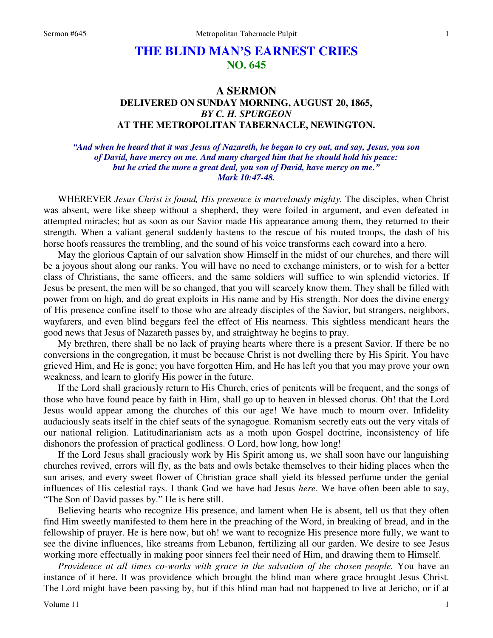## **THE BLIND MAN'S EARNEST CRIES NO. 645**

## **A SERMON DELIVERED ON SUNDAY MORNING, AUGUST 20, 1865,**  *BY C. H. SPURGEON*  **AT THE METROPOLITAN TABERNACLE, NEWINGTON.**

*"And when he heard that it was Jesus of Nazareth, he began to cry out, and say, Jesus, you son of David, have mercy on me. And many charged him that he should hold his peace: but he cried the more a great deal, you son of David, have mercy on me." Mark 10:47-48.* 

 WHEREVER *Jesus Christ is found, His presence is marvelously mighty.* The disciples, when Christ was absent, were like sheep without a shepherd, they were foiled in argument, and even defeated in attempted miracles; but as soon as our Savior made His appearance among them, they returned to their strength. When a valiant general suddenly hastens to the rescue of his routed troops, the dash of his horse hoofs reassures the trembling, and the sound of his voice transforms each coward into a hero.

 May the glorious Captain of our salvation show Himself in the midst of our churches, and there will be a joyous shout along our ranks. You will have no need to exchange ministers, or to wish for a better class of Christians, the same officers, and the same soldiers will suffice to win splendid victories. If Jesus be present, the men will be so changed, that you will scarcely know them. They shall be filled with power from on high, and do great exploits in His name and by His strength. Nor does the divine energy of His presence confine itself to those who are already disciples of the Savior, but strangers, neighbors, wayfarers, and even blind beggars feel the effect of His nearness. This sightless mendicant hears the good news that Jesus of Nazareth passes by, and straightway he begins to pray.

 My brethren, there shall be no lack of praying hearts where there is a present Savior. If there be no conversions in the congregation, it must be because Christ is not dwelling there by His Spirit. You have grieved Him, and He is gone; you have forgotten Him, and He has left you that you may prove your own weakness, and learn to glorify His power in the future.

 If the Lord shall graciously return to His Church, cries of penitents will be frequent, and the songs of those who have found peace by faith in Him, shall go up to heaven in blessed chorus. Oh! that the Lord Jesus would appear among the churches of this our age! We have much to mourn over. Infidelity audaciously seats itself in the chief seats of the synagogue. Romanism secretly eats out the very vitals of our national religion. Latitudinarianism acts as a moth upon Gospel doctrine, inconsistency of life dishonors the profession of practical godliness. O Lord, how long, how long!

 If the Lord Jesus shall graciously work by His Spirit among us, we shall soon have our languishing churches revived, errors will fly, as the bats and owls betake themselves to their hiding places when the sun arises, and every sweet flower of Christian grace shall yield its blessed perfume under the genial influences of His celestial rays. I thank God we have had Jesus *here*. We have often been able to say, "The Son of David passes by." He is here still.

 Believing hearts who recognize His presence, and lament when He is absent, tell us that they often find Him sweetly manifested to them here in the preaching of the Word, in breaking of bread, and in the fellowship of prayer. He is here now, but oh! we want to recognize His presence more fully, we want to see the divine influences, like streams from Lebanon, fertilizing all our garden. We desire to see Jesus working more effectually in making poor sinners feel their need of Him, and drawing them to Himself.

*Providence at all times co-works with grace in the salvation of the chosen people.* You have an instance of it here. It was providence which brought the blind man where grace brought Jesus Christ. The Lord might have been passing by, but if this blind man had not happened to live at Jericho, or if at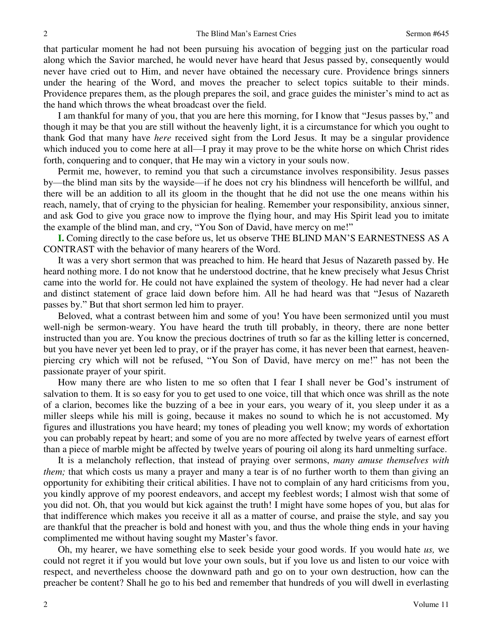that particular moment he had not been pursuing his avocation of begging just on the particular road along which the Savior marched, he would never have heard that Jesus passed by, consequently would never have cried out to Him, and never have obtained the necessary cure. Providence brings sinners under the hearing of the Word, and moves the preacher to select topics suitable to their minds. Providence prepares them, as the plough prepares the soil, and grace guides the minister's mind to act as the hand which throws the wheat broadcast over the field.

 I am thankful for many of you, that you are here this morning, for I know that "Jesus passes by," and though it may be that you are still without the heavenly light, it is a circumstance for which you ought to thank God that many have *here* received sight from the Lord Jesus. It may be a singular providence which induced you to come here at all—I pray it may prove to be the white horse on which Christ rides forth, conquering and to conquer, that He may win a victory in your souls now.

 Permit me, however, to remind you that such a circumstance involves responsibility. Jesus passes by—the blind man sits by the wayside—if he does not cry his blindness will henceforth be willful, and there will be an addition to all its gloom in the thought that he did not use the one means within his reach, namely, that of crying to the physician for healing. Remember your responsibility, anxious sinner, and ask God to give you grace now to improve the flying hour, and may His Spirit lead you to imitate the example of the blind man, and cry, "You Son of David, have mercy on me!"

**I.** Coming directly to the case before us, let us observe THE BLIND MAN'S EARNESTNESS AS A CONTRAST with the behavior of many hearers of the Word.

 It was a very short sermon that was preached to him. He heard that Jesus of Nazareth passed by. He heard nothing more. I do not know that he understood doctrine, that he knew precisely what Jesus Christ came into the world for. He could not have explained the system of theology. He had never had a clear and distinct statement of grace laid down before him. All he had heard was that "Jesus of Nazareth passes by." But that short sermon led him to prayer.

 Beloved, what a contrast between him and some of you! You have been sermonized until you must well-nigh be sermon-weary. You have heard the truth till probably, in theory, there are none better instructed than you are. You know the precious doctrines of truth so far as the killing letter is concerned, but you have never yet been led to pray, or if the prayer has come, it has never been that earnest, heavenpiercing cry which will not be refused, "You Son of David, have mercy on me!" has not been the passionate prayer of your spirit.

 How many there are who listen to me so often that I fear I shall never be God's instrument of salvation to them. It is so easy for you to get used to one voice, till that which once was shrill as the note of a clarion, becomes like the buzzing of a bee in your ears, you weary of it, you sleep under it as a miller sleeps while his mill is going, because it makes no sound to which he is not accustomed. My figures and illustrations you have heard; my tones of pleading you well know; my words of exhortation you can probably repeat by heart; and some of you are no more affected by twelve years of earnest effort than a piece of marble might be affected by twelve years of pouring oil along its hard unmelting surface.

 It is a melancholy reflection, that instead of praying over sermons, *many amuse themselves with them;* that which costs us many a prayer and many a tear is of no further worth to them than giving an opportunity for exhibiting their critical abilities. I have not to complain of any hard criticisms from you, you kindly approve of my poorest endeavors, and accept my feeblest words; I almost wish that some of you did not. Oh, that you would but kick against the truth! I might have some hopes of you, but alas for that indifference which makes you receive it all as a matter of course, and praise the style, and say you are thankful that the preacher is bold and honest with you, and thus the whole thing ends in your having complimented me without having sought my Master's favor.

 Oh, my hearer, we have something else to seek beside your good words. If you would hate *us,* we could not regret it if you would but love your own souls, but if you love us and listen to our voice with respect, and nevertheless choose the downward path and go on to your own destruction, how can the preacher be content? Shall he go to his bed and remember that hundreds of you will dwell in everlasting

2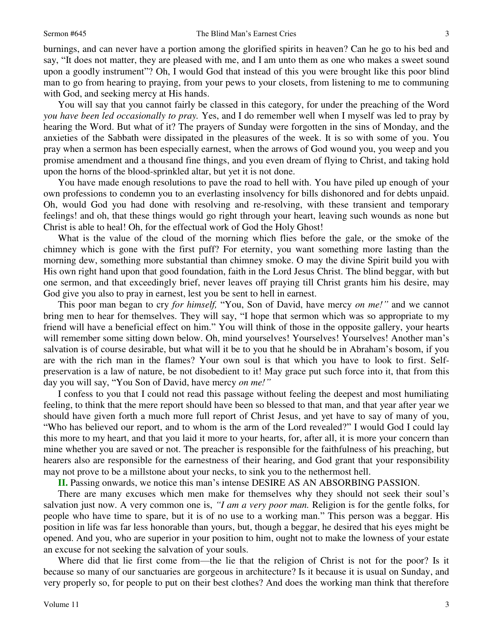burnings, and can never have a portion among the glorified spirits in heaven? Can he go to his bed and say, "It does not matter, they are pleased with me, and I am unto them as one who makes a sweet sound upon a goodly instrument"? Oh, I would God that instead of this you were brought like this poor blind man to go from hearing to praying, from your pews to your closets, from listening to me to communing with God, and seeking mercy at His hands.

 You will say that you cannot fairly be classed in this category, for under the preaching of the Word *you have been led occasionally to pray.* Yes, and I do remember well when I myself was led to pray by hearing the Word. But what of it? The prayers of Sunday were forgotten in the sins of Monday, and the anxieties of the Sabbath were dissipated in the pleasures of the week. It is so with some of you. You pray when a sermon has been especially earnest, when the arrows of God wound you, you weep and you promise amendment and a thousand fine things, and you even dream of flying to Christ, and taking hold upon the horns of the blood-sprinkled altar, but yet it is not done.

 You have made enough resolutions to pave the road to hell with. You have piled up enough of your own professions to condemn you to an everlasting insolvency for bills dishonored and for debts unpaid. Oh, would God you had done with resolving and re-resolving, with these transient and temporary feelings! and oh, that these things would go right through your heart, leaving such wounds as none but Christ is able to heal! Oh, for the effectual work of God the Holy Ghost!

 What is the value of the cloud of the morning which flies before the gale, or the smoke of the chimney which is gone with the first puff? For eternity, you want something more lasting than the morning dew, something more substantial than chimney smoke. O may the divine Spirit build you with His own right hand upon that good foundation, faith in the Lord Jesus Christ. The blind beggar, with but one sermon, and that exceedingly brief, never leaves off praying till Christ grants him his desire, may God give you also to pray in earnest, lest you be sent to hell in earnest.

 This poor man began to cry *for himself,* "You, Son of David, have mercy *on me!"* and we cannot bring men to hear for themselves. They will say, "I hope that sermon which was so appropriate to my friend will have a beneficial effect on him." You will think of those in the opposite gallery, your hearts will remember some sitting down below. Oh, mind yourselves! Yourselves! Yourselves! Another man's salvation is of course desirable, but what will it be to you that he should be in Abraham's bosom, if you are with the rich man in the flames? Your own soul is that which you have to look to first. Selfpreservation is a law of nature, be not disobedient to it! May grace put such force into it, that from this day you will say, "You Son of David, have mercy *on me!"*

 I confess to you that I could not read this passage without feeling the deepest and most humiliating feeling, to think that the mere report should have been so blessed to that man, and that year after year we should have given forth a much more full report of Christ Jesus, and yet have to say of many of you, "Who has believed our report, and to whom is the arm of the Lord revealed?" I would God I could lay this more to my heart, and that you laid it more to your hearts, for, after all, it is more your concern than mine whether you are saved or not. The preacher is responsible for the faithfulness of his preaching, but hearers also are responsible for the earnestness of their hearing, and God grant that your responsibility may not prove to be a millstone about your necks, to sink you to the nethermost hell.

**II.** Passing onwards, we notice this man's intense DESIRE AS AN ABSORBING PASSION.

 There are many excuses which men make for themselves why they should not seek their soul's salvation just now. A very common one is, *"I am a very poor man.* Religion is for the gentle folks, for people who have time to spare, but it is of no use to a working man." This person was a beggar. His position in life was far less honorable than yours, but, though a beggar, he desired that his eyes might be opened. And you, who are superior in your position to him, ought not to make the lowness of your estate an excuse for not seeking the salvation of your souls.

 Where did that lie first come from—the lie that the religion of Christ is not for the poor? Is it because so many of our sanctuaries are gorgeous in architecture? Is it because it is usual on Sunday, and very properly so, for people to put on their best clothes? And does the working man think that therefore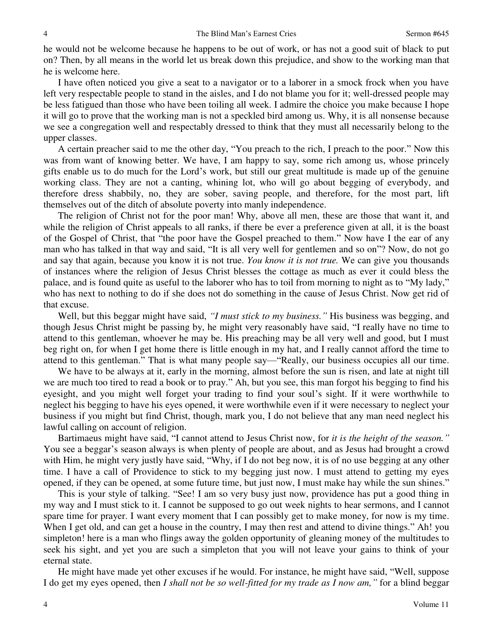he would not be welcome because he happens to be out of work, or has not a good suit of black to put on? Then, by all means in the world let us break down this prejudice, and show to the working man that he is welcome here.

 I have often noticed you give a seat to a navigator or to a laborer in a smock frock when you have left very respectable people to stand in the aisles, and I do not blame you for it; well-dressed people may be less fatigued than those who have been toiling all week. I admire the choice you make because I hope it will go to prove that the working man is not a speckled bird among us. Why, it is all nonsense because we see a congregation well and respectably dressed to think that they must all necessarily belong to the upper classes.

 A certain preacher said to me the other day, "You preach to the rich, I preach to the poor." Now this was from want of knowing better. We have, I am happy to say, some rich among us, whose princely gifts enable us to do much for the Lord's work, but still our great multitude is made up of the genuine working class. They are not a canting, whining lot, who will go about begging of everybody, and therefore dress shabbily, no, they are sober, saving people, and therefore, for the most part, lift themselves out of the ditch of absolute poverty into manly independence.

 The religion of Christ not for the poor man! Why, above all men, these are those that want it, and while the religion of Christ appeals to all ranks, if there be ever a preference given at all, it is the boast of the Gospel of Christ, that "the poor have the Gospel preached to them." Now have I the ear of any man who has talked in that way and said, "It is all very well for gentlemen and so on"? Now, do not go and say that again, because you know it is not true. *You know it is not true.* We can give you thousands of instances where the religion of Jesus Christ blesses the cottage as much as ever it could bless the palace, and is found quite as useful to the laborer who has to toil from morning to night as to "My lady," who has next to nothing to do if she does not do something in the cause of Jesus Christ. Now get rid of that excuse.

 Well, but this beggar might have said, *"I must stick to my business."* His business was begging, and though Jesus Christ might be passing by, he might very reasonably have said, "I really have no time to attend to this gentleman, whoever he may be. His preaching may be all very well and good, but I must beg right on, for when I get home there is little enough in my hat, and I really cannot afford the time to attend to this gentleman." That is what many people say—"Really, our business occupies all our time.

 We have to be always at it, early in the morning, almost before the sun is risen, and late at night till we are much too tired to read a book or to pray." Ah, but you see, this man forgot his begging to find his eyesight, and you might well forget your trading to find your soul's sight. If it were worthwhile to neglect his begging to have his eyes opened, it were worthwhile even if it were necessary to neglect your business if you might but find Christ, though, mark you, I do not believe that any man need neglect his lawful calling on account of religion.

 Bartimaeus might have said, "I cannot attend to Jesus Christ now, for *it is the height of the season."* You see a beggar's season always is when plenty of people are about, and as Jesus had brought a crowd with Him, he might very justly have said, "Why, if I do not beg now, it is of no use begging at any other time. I have a call of Providence to stick to my begging just now. I must attend to getting my eyes opened, if they can be opened, at some future time, but just now, I must make hay while the sun shines."

 This is your style of talking. "See! I am so very busy just now, providence has put a good thing in my way and I must stick to it. I cannot be supposed to go out week nights to hear sermons, and I cannot spare time for prayer. I want every moment that I can possibly get to make money, for now is my time. When I get old, and can get a house in the country, I may then rest and attend to divine things." Ah! you simpleton! here is a man who flings away the golden opportunity of gleaning money of the multitudes to seek his sight, and yet you are such a simpleton that you will not leave your gains to think of your eternal state.

 He might have made yet other excuses if he would. For instance, he might have said, "Well, suppose I do get my eyes opened, then *I shall not be so well-fitted for my trade as I now am,"* for a blind beggar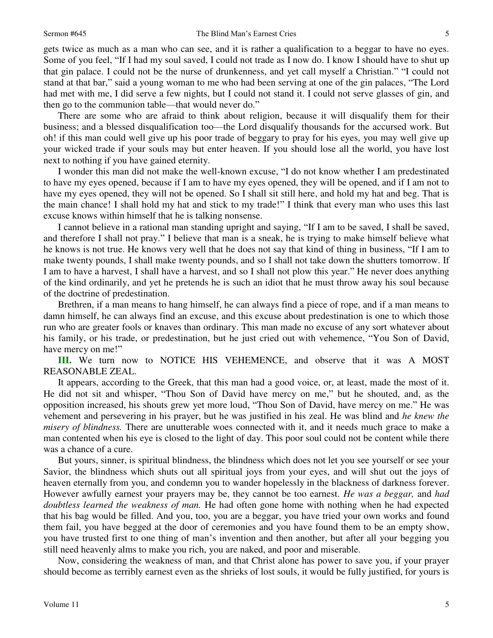gets twice as much as a man who can see, and it is rather a qualification to a beggar to have no eyes. Some of you feel, "If I had my soul saved, I could not trade as I now do. I know I should have to shut up that gin palace. I could not be the nurse of drunkenness, and yet call myself a Christian." "I could not stand at that bar," said a young woman to me who had been serving at one of the gin palaces, "The Lord had met with me, I did serve a few nights, but I could not stand it. I could not serve glasses of gin, and then go to the communion table—that would never do."

 There are some who are afraid to think about religion, because it will disqualify them for their business; and a blessed disqualification too—the Lord disqualify thousands for the accursed work. But oh! if this man could well give up his poor trade of beggary to pray for his eyes, you may well give up your wicked trade if your souls may but enter heaven. If you should lose all the world, you have lost next to nothing if you have gained eternity.

 I wonder this man did not make the well-known excuse, "I do not know whether I am predestinated to have my eyes opened, because if I am to have my eyes opened, they will be opened, and if I am not to have my eyes opened, they will not be opened. So I shall sit still here, and hold my hat and beg. That is the main chance! I shall hold my hat and stick to my trade!" I think that every man who uses this last excuse knows within himself that he is talking nonsense.

 I cannot believe in a rational man standing upright and saying, "If I am to be saved, I shall be saved, and therefore I shall not pray." I believe that man is a sneak, he is trying to make himself believe what he knows is not true. He knows very well that he does not say that kind of thing in business, "If I am to make twenty pounds, I shall make twenty pounds, and so I shall not take down the shutters tomorrow. If I am to have a harvest, I shall have a harvest, and so I shall not plow this year." He never does anything of the kind ordinarily, and yet he pretends he is such an idiot that he must throw away his soul because of the doctrine of predestination.

 Brethren, if a man means to hang himself, he can always find a piece of rope, and if a man means to damn himself, he can always find an excuse, and this excuse about predestination is one to which those run who are greater fools or knaves than ordinary. This man made no excuse of any sort whatever about his family, or his trade, or predestination, but he just cried out with vehemence, "You Son of David, have mercy on me!"

**III.** We turn now to NOTICE HIS VEHEMENCE, and observe that it was A MOST REASONABLE ZEAL.

 It appears, according to the Greek, that this man had a good voice, or, at least, made the most of it. He did not sit and whisper, "Thou Son of David have mercy on me," but he shouted, and, as the opposition increased, his shouts grew yet more loud, "Thou Son of David, have mercy on me." He was vehement and persevering in his prayer, but he was justified in his zeal. He was blind and *he knew the misery of blindness.* There are unutterable woes connected with it, and it needs much grace to make a man contented when his eye is closed to the light of day. This poor soul could not be content while there was a chance of a cure.

 But yours, sinner, is spiritual blindness, the blindness which does not let you see yourself or see your Savior, the blindness which shuts out all spiritual joys from your eyes, and will shut out the joys of heaven eternally from you, and condemn you to wander hopelessly in the blackness of darkness forever. However awfully earnest your prayers may be, they cannot be too earnest. *He was a beggar,* and *had doubtless learned the weakness of man.* He had often gone home with nothing when he had expected that his bag would be filled. And you, too, you are a beggar, you have tried your own works and found them fail, you have begged at the door of ceremonies and you have found them to be an empty show, you have trusted first to one thing of man's invention and then another, but after all your begging you still need heavenly alms to make you rich, you are naked, and poor and miserable.

 Now, considering the weakness of man, and that Christ alone has power to save you, if your prayer should become as terribly earnest even as the shrieks of lost souls, it would be fully justified, for yours is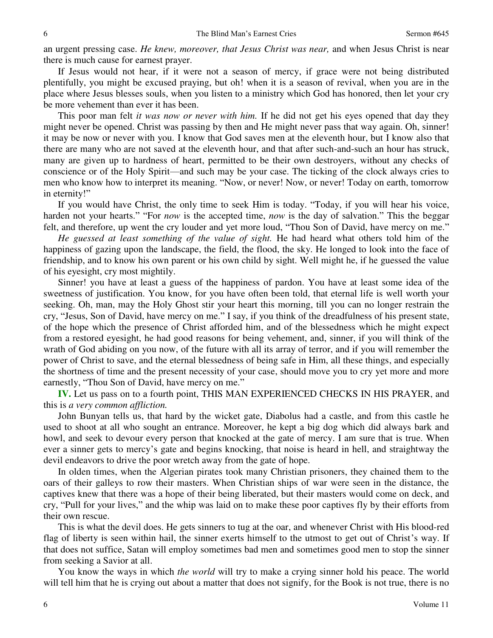an urgent pressing case. *He knew, moreover, that Jesus Christ was near,* and when Jesus Christ is near there is much cause for earnest prayer.

 If Jesus would not hear, if it were not a season of mercy, if grace were not being distributed plentifully, you might be excused praying, but oh! when it is a season of revival, when you are in the place where Jesus blesses souls, when you listen to a ministry which God has honored, then let your cry be more vehement than ever it has been.

 This poor man felt *it was now or never with him.* If he did not get his eyes opened that day they might never be opened. Christ was passing by then and He might never pass that way again. Oh, sinner! it may be now or never with you. I know that God saves men at the eleventh hour, but I know also that there are many who are not saved at the eleventh hour, and that after such-and-such an hour has struck, many are given up to hardness of heart, permitted to be their own destroyers, without any checks of conscience or of the Holy Spirit—and such may be your case. The ticking of the clock always cries to men who know how to interpret its meaning. "Now, or never! Now, or never! Today on earth, tomorrow in eternity!"

 If you would have Christ, the only time to seek Him is today. "Today, if you will hear his voice, harden not your hearts." "For *now* is the accepted time, *now* is the day of salvation." This the beggar felt, and therefore, up went the cry louder and yet more loud, "Thou Son of David, have mercy on me."

*He guessed at least something of the value of sight.* He had heard what others told him of the happiness of gazing upon the landscape, the field, the flood, the sky. He longed to look into the face of friendship, and to know his own parent or his own child by sight. Well might he, if he guessed the value of his eyesight, cry most mightily.

 Sinner! you have at least a guess of the happiness of pardon. You have at least some idea of the sweetness of justification. You know, for you have often been told, that eternal life is well worth your seeking. Oh, man, may the Holy Ghost stir your heart this morning, till you can no longer restrain the cry, "Jesus, Son of David, have mercy on me." I say, if you think of the dreadfulness of his present state, of the hope which the presence of Christ afforded him, and of the blessedness which he might expect from a restored eyesight, he had good reasons for being vehement, and, sinner, if you will think of the wrath of God abiding on you now, of the future with all its array of terror, and if you will remember the power of Christ to save, and the eternal blessedness of being safe in Him, all these things, and especially the shortness of time and the present necessity of your case, should move you to cry yet more and more earnestly, "Thou Son of David, have mercy on me."

**IV.** Let us pass on to a fourth point, THIS MAN EXPERIENCED CHECKS IN HIS PRAYER, and this is *a very common affliction.*

 John Bunyan tells us, that hard by the wicket gate, Diabolus had a castle, and from this castle he used to shoot at all who sought an entrance. Moreover, he kept a big dog which did always bark and howl, and seek to devour every person that knocked at the gate of mercy. I am sure that is true. When ever a sinner gets to mercy's gate and begins knocking, that noise is heard in hell, and straightway the devil endeavors to drive the poor wretch away from the gate of hope.

 In olden times, when the Algerian pirates took many Christian prisoners, they chained them to the oars of their galleys to row their masters. When Christian ships of war were seen in the distance, the captives knew that there was a hope of their being liberated, but their masters would come on deck, and cry, "Pull for your lives," and the whip was laid on to make these poor captives fly by their efforts from their own rescue.

 This is what the devil does. He gets sinners to tug at the oar, and whenever Christ with His blood-red flag of liberty is seen within hail, the sinner exerts himself to the utmost to get out of Christ's way. If that does not suffice, Satan will employ sometimes bad men and sometimes good men to stop the sinner from seeking a Savior at all.

 You know the ways in which *the world* will try to make a crying sinner hold his peace. The world will tell him that he is crying out about a matter that does not signify, for the Book is not true, there is no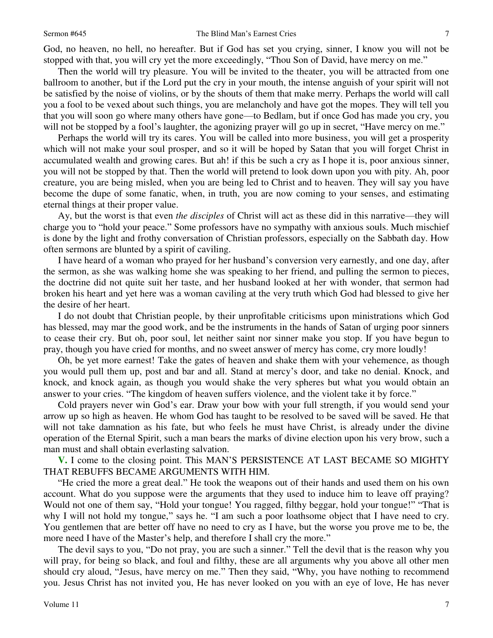God, no heaven, no hell, no hereafter. But if God has set you crying, sinner, I know you will not be stopped with that, you will cry yet the more exceedingly, "Thou Son of David, have mercy on me."

 Then the world will try pleasure. You will be invited to the theater, you will be attracted from one ballroom to another, but if the Lord put the cry in your mouth, the intense anguish of your spirit will not be satisfied by the noise of violins, or by the shouts of them that make merry. Perhaps the world will call you a fool to be vexed about such things, you are melancholy and have got the mopes. They will tell you that you will soon go where many others have gone—to Bedlam, but if once God has made you cry, you will not be stopped by a fool's laughter, the agonizing prayer will go up in secret, "Have mercy on me."

Perhaps the world will try its cares. You will be called into more business, you will get a prosperity which will not make your soul prosper, and so it will be hoped by Satan that you will forget Christ in accumulated wealth and growing cares. But ah! if this be such a cry as I hope it is, poor anxious sinner, you will not be stopped by that. Then the world will pretend to look down upon you with pity. Ah, poor creature, you are being misled, when you are being led to Christ and to heaven. They will say you have become the dupe of some fanatic, when, in truth, you are now coming to your senses, and estimating eternal things at their proper value.

Ay, but the worst is that even *the disciples* of Christ will act as these did in this narrative—they will charge you to "hold your peace." Some professors have no sympathy with anxious souls. Much mischief is done by the light and frothy conversation of Christian professors, especially on the Sabbath day. How often sermons are blunted by a spirit of caviling.

 I have heard of a woman who prayed for her husband's conversion very earnestly, and one day, after the sermon, as she was walking home she was speaking to her friend, and pulling the sermon to pieces, the doctrine did not quite suit her taste, and her husband looked at her with wonder, that sermon had broken his heart and yet here was a woman caviling at the very truth which God had blessed to give her the desire of her heart.

 I do not doubt that Christian people, by their unprofitable criticisms upon ministrations which God has blessed, may mar the good work, and be the instruments in the hands of Satan of urging poor sinners to cease their cry. But oh, poor soul, let neither saint nor sinner make you stop. If you have begun to pray, though you have cried for months, and no sweet answer of mercy has come, cry more loudly!

 Oh, be yet more earnest! Take the gates of heaven and shake them with your vehemence, as though you would pull them up, post and bar and all. Stand at mercy's door, and take no denial. Knock, and knock, and knock again, as though you would shake the very spheres but what you would obtain an answer to your cries. "The kingdom of heaven suffers violence, and the violent take it by force."

 Cold prayers never win God's ear. Draw your bow with your full strength, if you would send your arrow up so high as heaven. He whom God has taught to be resolved to be saved will be saved. He that will not take damnation as his fate, but who feels he must have Christ, is already under the divine operation of the Eternal Spirit, such a man bears the marks of divine election upon his very brow, such a man must and shall obtain everlasting salvation.

**V.** I come to the closing point. This MAN'S PERSISTENCE AT LAST BECAME SO MIGHTY THAT REBUFFS BECAME ARGUMENTS WITH HIM.

"He cried the more a great deal." He took the weapons out of their hands and used them on his own account. What do you suppose were the arguments that they used to induce him to leave off praying? Would not one of them say, "Hold your tongue! You ragged, filthy beggar, hold your tongue!" "That is why I will not hold my tongue," says he. "I am such a poor loathsome object that I have need to cry. You gentlemen that are better off have no need to cry as I have, but the worse you prove me to be, the more need I have of the Master's help, and therefore I shall cry the more."

 The devil says to you, "Do not pray, you are such a sinner." Tell the devil that is the reason why you will pray, for being so black, and foul and filthy, these are all arguments why you above all other men should cry aloud, "Jesus, have mercy on me." Then they said, "Why, you have nothing to recommend you. Jesus Christ has not invited you, He has never looked on you with an eye of love, He has never

7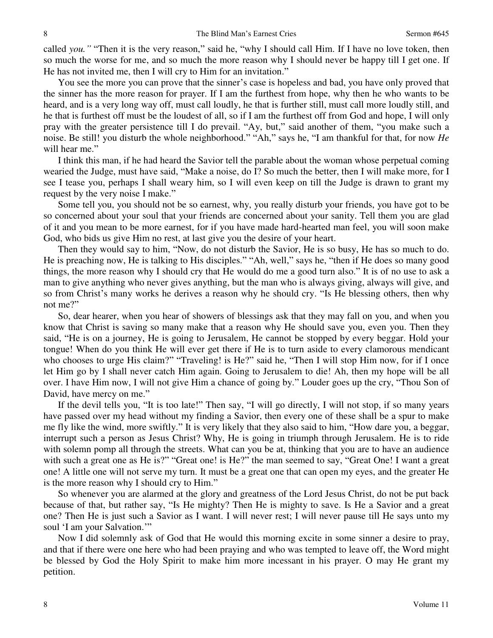called *you."* "Then it is the very reason," said he, "why I should call Him. If I have no love token, then so much the worse for me, and so much the more reason why I should never be happy till I get one. If He has not invited me, then I will cry to Him for an invitation."

 You see the more you can prove that the sinner's case is hopeless and bad, you have only proved that the sinner has the more reason for prayer. If I am the furthest from hope, why then he who wants to be heard, and is a very long way off, must call loudly, he that is further still, must call more loudly still, and he that is furthest off must be the loudest of all, so if I am the furthest off from God and hope, I will only pray with the greater persistence till I do prevail. "Ay, but," said another of them, "you make such a noise. Be still! you disturb the whole neighborhood." "Ah," says he, "I am thankful for that, for now *He* will hear me."

 I think this man, if he had heard the Savior tell the parable about the woman whose perpetual coming wearied the Judge, must have said, "Make a noise, do I? So much the better, then I will make more, for I see I tease you, perhaps I shall weary him, so I will even keep on till the Judge is drawn to grant my request by the very noise I make."

 Some tell you, you should not be so earnest, why, you really disturb your friends, you have got to be so concerned about your soul that your friends are concerned about your sanity. Tell them you are glad of it and you mean to be more earnest, for if you have made hard-hearted man feel, you will soon make God, who bids us give Him no rest, at last give you the desire of your heart.

 Then they would say to him, "Now, do not disturb the Savior, He is so busy, He has so much to do. He is preaching now, He is talking to His disciples." "Ah, well," says he, "then if He does so many good things, the more reason why I should cry that He would do me a good turn also." It is of no use to ask a man to give anything who never gives anything, but the man who is always giving, always will give, and so from Christ's many works he derives a reason why he should cry. "Is He blessing others, then why not me?"

 So, dear hearer, when you hear of showers of blessings ask that they may fall on you, and when you know that Christ is saving so many make that a reason why He should save you, even you. Then they said, "He is on a journey, He is going to Jerusalem, He cannot be stopped by every beggar. Hold your tongue! When do you think He will ever get there if He is to turn aside to every clamorous mendicant who chooses to urge His claim?" "Traveling! is He?" said he, "Then I will stop Him now, for if I once let Him go by I shall never catch Him again. Going to Jerusalem to die! Ah, then my hope will be all over. I have Him now, I will not give Him a chance of going by." Louder goes up the cry, "Thou Son of David, have mercy on me."

 If the devil tells you, "It is too late!" Then say, "I will go directly, I will not stop, if so many years have passed over my head without my finding a Savior, then every one of these shall be a spur to make me fly like the wind, more swiftly." It is very likely that they also said to him, "How dare you, a beggar, interrupt such a person as Jesus Christ? Why, He is going in triumph through Jerusalem. He is to ride with solemn pomp all through the streets. What can you be at, thinking that you are to have an audience with such a great one as He is?" "Great one! is He?" the man seemed to say, "Great One! I want a great one! A little one will not serve my turn. It must be a great one that can open my eyes, and the greater He is the more reason why I should cry to Him."

 So whenever you are alarmed at the glory and greatness of the Lord Jesus Christ, do not be put back because of that, but rather say, "Is He mighty? Then He is mighty to save. Is He a Savior and a great one? Then He is just such a Savior as I want. I will never rest; I will never pause till He says unto my soul 'I am your Salvation."

 Now I did solemnly ask of God that He would this morning excite in some sinner a desire to pray, and that if there were one here who had been praying and who was tempted to leave off, the Word might be blessed by God the Holy Spirit to make him more incessant in his prayer. O may He grant my petition.